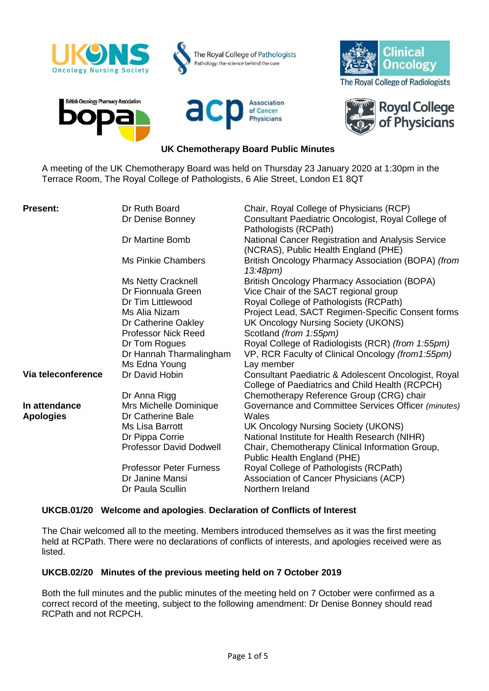

A meeting of the UK Chemotherapy Board was held on Thursday 23 January 2020 at 1:30pm in the Terrace Room, The Royal College of Pathologists, 6 Alie Street, London E1 8QT

| <b>Present:</b>                   | Dr Ruth Board<br>Dr Denise Bonney           | Chair, Royal College of Physicians (RCP)<br>Consultant Paediatric Oncologist, Royal College of<br>Pathologists (RCPath) |
|-----------------------------------|---------------------------------------------|-------------------------------------------------------------------------------------------------------------------------|
|                                   | Dr Martine Bomb                             | National Cancer Registration and Analysis Service<br>(NCRAS), Public Health England (PHE)                               |
|                                   | <b>Ms Pinkie Chambers</b>                   | British Oncology Pharmacy Association (BOPA) (from<br>$13:48 \text{pm}$                                                 |
|                                   | Ms Netty Cracknell<br>Dr Fionnuala Green    | <b>British Oncology Pharmacy Association (BOPA)</b><br>Vice Chair of the SACT regional group                            |
|                                   | Dr Tim Littlewood                           | Royal College of Pathologists (RCPath)                                                                                  |
|                                   | Ms Alia Nizam<br>Dr Catherine Oakley        | Project Lead, SACT Regimen-Specific Consent forms<br>UK Oncology Nursing Society (UKONS)                                |
|                                   | <b>Professor Nick Reed</b>                  | Scotland (from 1:55pm)                                                                                                  |
|                                   | Dr Tom Rogues                               | Royal College of Radiologists (RCR) (from 1:55pm)                                                                       |
|                                   | Dr Hannah Tharmalingham                     | VP, RCR Faculty of Clinical Oncology (from 1:55pm)                                                                      |
|                                   | Ms Edna Young                               | Lay member                                                                                                              |
| Via teleconference                | Dr David Hobin                              | Consultant Paediatric & Adolescent Oncologist, Royal<br>College of Paediatrics and Child Health (RCPCH)                 |
|                                   | Dr Anna Rigg                                | Chemotherapy Reference Group (CRG) chair                                                                                |
| In attendance<br><b>Apologies</b> | Mrs Michelle Dominique<br>Dr Catherine Bale | Governance and Committee Services Officer (minutes)<br>Wales                                                            |
|                                   | Ms Lisa Barrott                             | UK Oncology Nursing Society (UKONS)                                                                                     |
|                                   | Dr Pippa Corrie                             | National Institute for Health Research (NIHR)                                                                           |
|                                   | <b>Professor David Dodwell</b>              | Chair, Chemotherapy Clinical Information Group,<br>Public Health England (PHE)                                          |
|                                   | <b>Professor Peter Furness</b>              | Royal College of Pathologists (RCPath)                                                                                  |
|                                   | Dr Janine Mansi                             | Association of Cancer Physicians (ACP)                                                                                  |
|                                   | Dr Paula Scullin                            | Northern Ireland                                                                                                        |

# **UKCB.01/20 Welcome and apologies**. **Declaration of Conflicts of Interest**

The Chair welcomed all to the meeting. Members introduced themselves as it was the first meeting held at RCPath. There were no declarations of conflicts of interests, and apologies received were as listed.

## **UKCB.02/20 Minutes of the previous meeting held on 7 October 2019**

Both the full minutes and the public minutes of the meeting held on 7 October were confirmed as a correct record of the meeting, subject to the following amendment: Dr Denise Bonney should read RCPath and not RCPCH.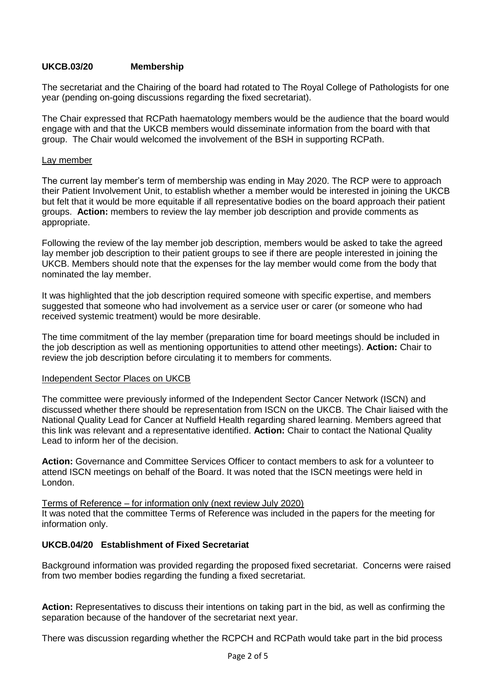# **UKCB.03/20 Membership**

The secretariat and the Chairing of the board had rotated to The Royal College of Pathologists for one year (pending on-going discussions regarding the fixed secretariat).

The Chair expressed that RCPath haematology members would be the audience that the board would engage with and that the UKCB members would disseminate information from the board with that group. The Chair would welcomed the involvement of the BSH in supporting RCPath.

### Lay member

The current lay member's term of membership was ending in May 2020. The RCP were to approach their Patient Involvement Unit, to establish whether a member would be interested in joining the UKCB but felt that it would be more equitable if all representative bodies on the board approach their patient groups. **Action:** members to review the lay member job description and provide comments as appropriate.

Following the review of the lay member job description, members would be asked to take the agreed lay member job description to their patient groups to see if there are people interested in joining the UKCB. Members should note that the expenses for the lay member would come from the body that nominated the lay member.

It was highlighted that the job description required someone with specific expertise, and members suggested that someone who had involvement as a service user or carer (or someone who had received systemic treatment) would be more desirable.

The time commitment of the lay member (preparation time for board meetings should be included in the job description as well as mentioning opportunities to attend other meetings). **Action:** Chair to review the job description before circulating it to members for comments.

#### Independent Sector Places on UKCB

The committee were previously informed of the Independent Sector Cancer Network (ISCN) and discussed whether there should be representation from ISCN on the UKCB. The Chair liaised with the National Quality Lead for Cancer at Nuffield Health regarding shared learning. Members agreed that this link was relevant and a representative identified. **Action:** Chair to contact the National Quality Lead to inform her of the decision.

**Action:** Governance and Committee Services Officer to contact members to ask for a volunteer to attend ISCN meetings on behalf of the Board. It was noted that the ISCN meetings were held in London.

## Terms of Reference – for information only (next review July 2020)

It was noted that the committee Terms of Reference was included in the papers for the meeting for information only.

# **UKCB.04/20 Establishment of Fixed Secretariat**

Background information was provided regarding the proposed fixed secretariat. Concerns were raised from two member bodies regarding the funding a fixed secretariat.

**Action:** Representatives to discuss their intentions on taking part in the bid, as well as confirming the separation because of the handover of the secretariat next year.

There was discussion regarding whether the RCPCH and RCPath would take part in the bid process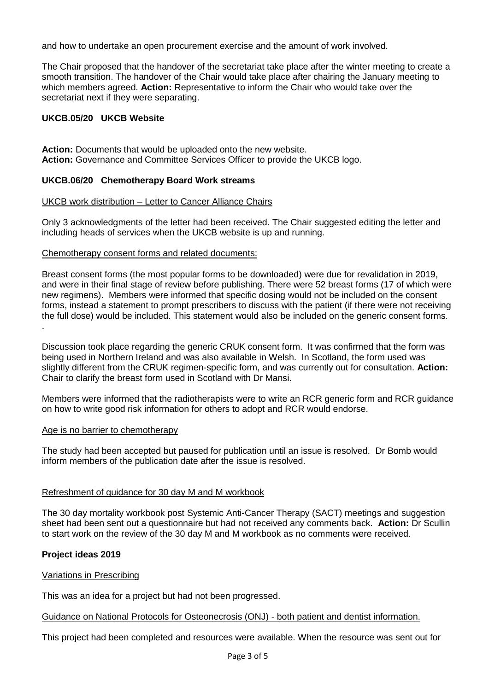and how to undertake an open procurement exercise and the amount of work involved.

The Chair proposed that the handover of the secretariat take place after the winter meeting to create a smooth transition. The handover of the Chair would take place after chairing the January meeting to which members agreed. **Action:** Representative to inform the Chair who would take over the secretariat next if they were separating.

# **UKCB.05/20 UKCB Website**

**Action:** Documents that would be uploaded onto the new website. **Action:** Governance and Committee Services Officer to provide the UKCB logo.

# **UKCB.06/20 Chemotherapy Board Work streams**

## UKCB work distribution – Letter to Cancer Alliance Chairs

Only 3 acknowledgments of the letter had been received. The Chair suggested editing the letter and including heads of services when the UKCB website is up and running.

## Chemotherapy consent forms and related documents:

Breast consent forms (the most popular forms to be downloaded) were due for revalidation in 2019, and were in their final stage of review before publishing. There were 52 breast forms (17 of which were new regimens). Members were informed that specific dosing would not be included on the consent forms, instead a statement to prompt prescribers to discuss with the patient (if there were not receiving the full dose) would be included. This statement would also be included on the generic consent forms. .

Discussion took place regarding the generic CRUK consent form. It was confirmed that the form was being used in Northern Ireland and was also available in Welsh. In Scotland, the form used was slightly different from the CRUK regimen-specific form, and was currently out for consultation. **Action:** Chair to clarify the breast form used in Scotland with Dr Mansi.

Members were informed that the radiotherapists were to write an RCR generic form and RCR guidance on how to write good risk information for others to adopt and RCR would endorse.

## Age is no barrier to chemotherapy

The study had been accepted but paused for publication until an issue is resolved. Dr Bomb would inform members of the publication date after the issue is resolved.

## Refreshment of guidance for 30 day M and M workbook

The 30 day mortality workbook post Systemic Anti-Cancer Therapy (SACT) meetings and suggestion sheet had been sent out a questionnaire but had not received any comments back. **Action:** Dr Scullin to start work on the review of the 30 day M and M workbook as no comments were received.

## **Project ideas 2019**

## Variations in Prescribing

This was an idea for a project but had not been progressed.

## Guidance on National Protocols for Osteonecrosis (ONJ) - both patient and dentist information.

This project had been completed and resources were available. When the resource was sent out for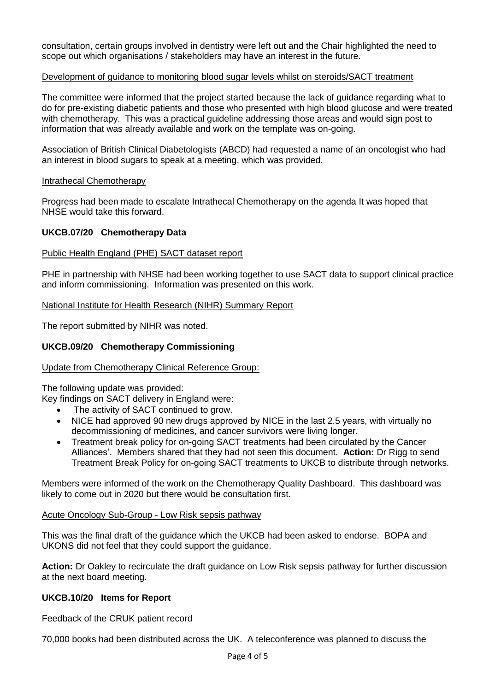consultation, certain groups involved in dentistry were left out and the Chair highlighted the need to scope out which organisations / stakeholders may have an interest in the future.

### Development of guidance to monitoring blood sugar levels whilst on steroids/SACT treatment

The committee were informed that the project started because the lack of guidance regarding what to do for pre-existing diabetic patients and those who presented with high blood glucose and were treated with chemotherapy. This was a practical guideline addressing those areas and would sign post to information that was already available and work on the template was on-going.

Association of British Clinical Diabetologists (ABCD) had requested a name of an oncologist who had an interest in blood sugars to speak at a meeting, which was provided.

#### Intrathecal Chemotherapy

Progress had been made to escalate Intrathecal Chemotherapy on the agenda It was hoped that NHSE would take this forward.

## **UKCB.07/20 Chemotherapy Data**

### Public Health England (PHE) SACT dataset report

PHE in partnership with NHSE had been working together to use SACT data to support clinical practice and inform commissioning. Information was presented on this work.

### National Institute for Health Research (NIHR) Summary Report

The report submitted by NIHR was noted.

### **UKCB.09/20 Chemotherapy Commissioning**

#### Update from Chemotherapy Clinical Reference Group:

The following update was provided:

Key findings on SACT delivery in England were:

- The activity of SACT continued to grow.
- NICE had approved 90 new drugs approved by NICE in the last 2.5 years, with virtually no decommissioning of medicines, and cancer survivors were living longer.
- Treatment break policy for on-going SACT treatments had been circulated by the Cancer Alliances'. Members shared that they had not seen this document. **Action:** Dr Rigg to send Treatment Break Policy for on-going SACT treatments to UKCB to distribute through networks.

Members were informed of the work on the Chemotherapy Quality Dashboard. This dashboard was likely to come out in 2020 but there would be consultation first.

#### Acute Oncology Sub-Group - Low Risk sepsis pathway

This was the final draft of the guidance which the UKCB had been asked to endorse. BOPA and UKONS did not feel that they could support the guidance.

**Action:** Dr Oakley to recirculate the draft guidance on Low Risk sepsis pathway for further discussion at the next board meeting.

### **UKCB.10/20 Items for Report**

Feedback of the CRUK patient record

70,000 books had been distributed across the UK. A teleconference was planned to discuss the